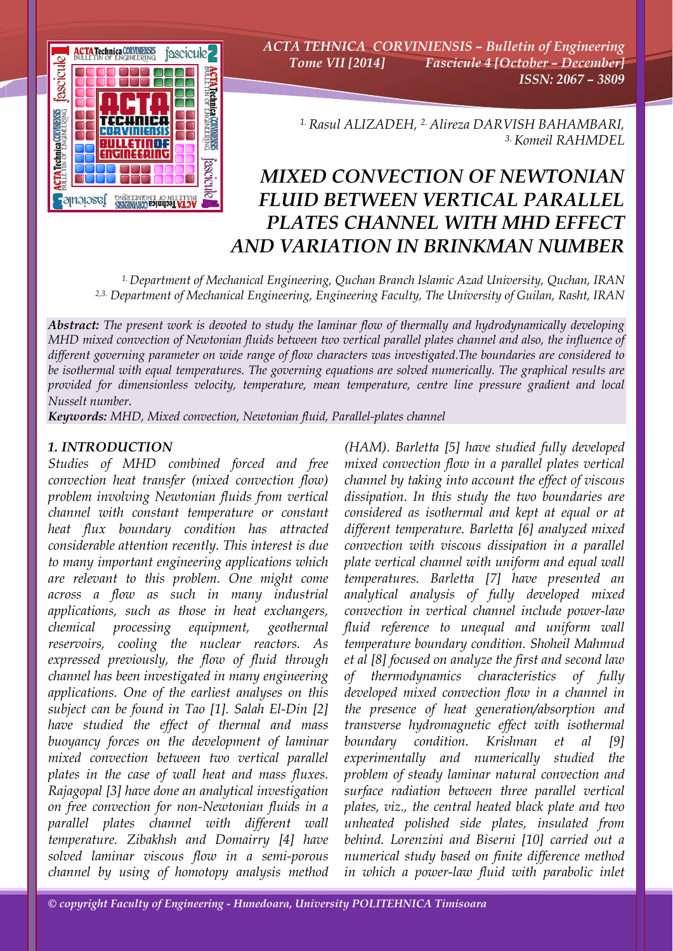

*ACTA TEHNICA CORVINIENSIS – Bulletin of Engineering Tome VII [2014] Fascicule 4 [October – December] ISSN: 2067 – 3809* 

> *1. Rasul ALIZADEH, 2. Alireza DARVISH BAHAMBARI, 3. Komeil RAHMDEL*

# *MIXED CONVECTION OF NEWTONIAN FLUID BETWEEN VERTICAL PARALLEL PLATES CHANNEL WITH MHD EFFECT AND VARIATION IN BRINKMAN NUMBER*

*1. Department of Mechanical Engineering, Quchan Branch Islamic Azad University, Quchan, IRAN 2,3. Department of Mechanical Engineering, Engineering Faculty, The University of Guilan, Rasht, IRAN*

*Abstract: The present work is devoted to study the laminar flow of thermally and hydrodynamically developing MHD mixed convection of Newtonian fluids between two vertical parallel plates channel and also, the influence of different governing parameter on wide range of flow characters was investigated.The boundaries are considered to be isothermal with equal temperatures. The governing equations are solved numerically. The graphical results are provided for dimensionless velocity, temperature, mean temperature, centre line pressure gradient and local Nusselt number.*

*Keywords: MHD, Mixed convection, Newtonian fluid, Parallel-plates channel*

# *1. INTRODUCTION*

*Studies of MHD combined forced and free convection heat transfer (mixed convection flow) problem involving Newtonian fluids from vertical channel with constant temperature or constant heat flux boundary condition has attracted considerable attention recently. This interest is due to many important engineering applications which are relevant to this problem. One might come across a flow as such in many industrial applications, such as those in heat exchangers, chemical processing equipment, geothermal reservoirs, cooling the nuclear reactors. As expressed previously, the flow of fluid through channel has been investigated in many engineering applications. One of the earliest analyses on this subject can be found in Tao [1]. Salah El-Din [2] have studied the effect of thermal and mass buoyancy forces on the development of laminar mixed convection between two vertical parallel plates in the case of wall heat and mass fluxes. Rajagopal [3] have done an analytical investigation on free convection for non-Newtonian fluids in a parallel plates channel with different wall temperature. Zibakhsh and Domairry [4] have solved laminar viscous flow in a semi-porous channel by using of homotopy analysis method* 

*(HAM). Barletta [5] have studied fully developed mixed convection flow in a parallel plates vertical channel by taking into account the effect of viscous dissipation. In this study the two boundaries are considered as isothermal and kept at equal or at different temperature. Barletta [6] analyzed mixed convection with viscous dissipation in a parallel plate vertical channel with uniform and equal wall temperatures. Barletta [7] have presented an analytical analysis of fully developed mixed convection in vertical channel include power-law fluid reference to unequal and uniform wall temperature boundary condition. Shoheil Mahmud et al [8] focused on analyze the first and second law of thermodynamics characteristics of fully developed mixed convection flow in a channel in the presence of heat generation/absorption and transverse hydromagnetic effect with isothermal boundary condition. Krishnan et al [9] experimentally and numerically studied the problem of steady laminar natural convection and surface radiation between three parallel vertical plates, viz., the central heated black plate and two unheated polished side plates, insulated from behind. Lorenzini and Biserni [10] carried out a numerical study based on finite difference method in which a power-law fluid with parabolic inlet*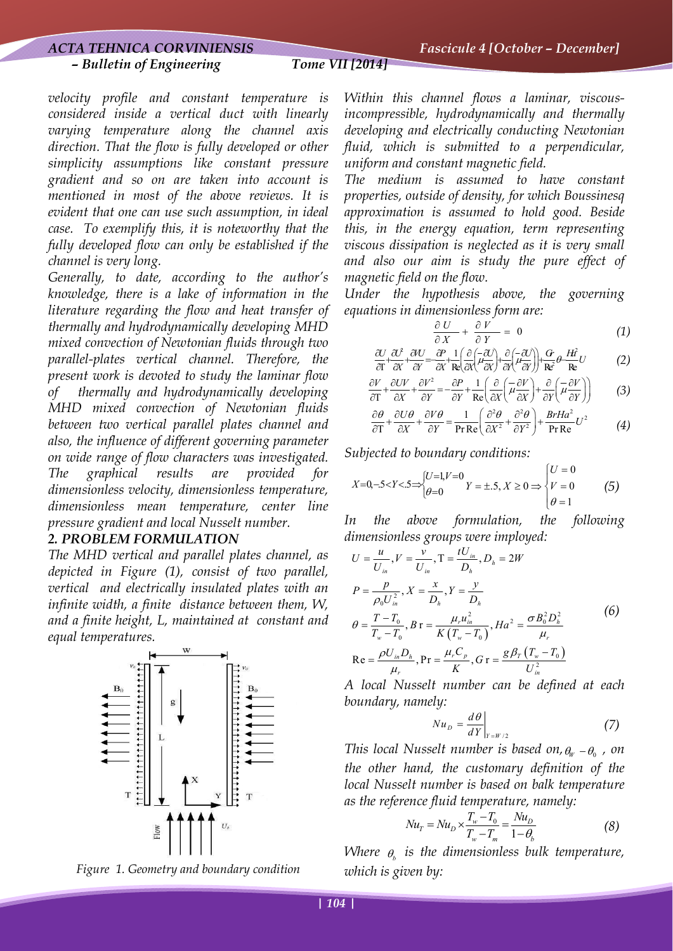#### *– Bulletin of Engineering Tome VII [2014]*

*velocity profile and constant temperature is considered inside a vertical duct with linearly varying temperature along the channel axis direction. That the flow is fully developed or other simplicity assumptions like constant pressure gradient and so on are taken into account is mentioned in most of the above reviews. It is evident that one can use such assumption, in ideal case. To exemplify this, it is noteworthy that the fully developed flow can only be established if the channel is very long.* 

*Generally, to date, according to the author's knowledge, there is a lake of information in the literature regarding the flow and heat transfer of thermally and hydrodynamically developing MHD mixed convection of Newtonian fluids through two parallel-plates vertical channel. Therefore, the present work is devoted to study the laminar flow of thermally and hydrodynamically developing MHD mixed convection of Newtonian fluids between two vertical parallel plates channel and also, the influence of different governing parameter on wide range of flow characters was investigated. The graphical results are provided for dimensionless velocity, dimensionless temperature, dimensionless mean temperature, center line pressure gradient and local Nusselt number.* 

## *2. PROBLEM FORMULATION*

*The MHD vertical and parallel plates channel, as depicted in Figure (1), consist of two parallel, vertical and electrically insulated plates with an infinite width, a finite distance between them, W, and a finite height, L, maintained at constant and equal temperatures.* 



*Figure 1. Geometry and boundary condition* 

*Within this channel flows a laminar, viscousincompressible, hydrodynamically and thermally developing and electrically conducting Newtonian fluid, which is submitted to a perpendicular, uniform and constant magnetic field.* 

*The medium is assumed to have constant properties, outside of density, for which Boussinesq approximation is assumed to hold good. Beside this, in the energy equation, term representing viscous dissipation is neglected as it is very small and also our aim is study the pure effect of magnetic field on the flow.* 

*Under the hypothesis above, the governing equations in dimensionless form are:* 

$$
\frac{\partial U}{\partial X} + \frac{\partial V}{\partial Y} = 0 \tag{1}
$$

$$
\frac{\partial U}{\partial T} + \frac{\partial U}{\partial X} + \frac{\partial U}{\partial Y} = \frac{\partial P}{\partial X} + \frac{1}{Re} \left( \frac{\partial}{\partial X} \left( \frac{\partial U}{\partial X} \right) + \frac{\partial}{\partial Y} \left( \frac{\partial U}{\partial Y} \right) \right) + \frac{G}{Re} \theta + \frac{H\hat{d}}{Re} U \tag{2}
$$

$$
\frac{\partial V}{\partial T} + \frac{\partial UV}{\partial X} + \frac{\partial V^2}{\partial Y} = -\frac{\partial P}{\partial Y} + \frac{1}{\text{Re}} \left( \frac{\partial}{\partial X} \left( \frac{\partial V}{\partial X} \right) + \frac{\partial}{\partial Y} \left( \frac{\partial V}{\partial Y} \right) \right) \tag{3}
$$

$$
\frac{\partial \theta}{\partial T} + \frac{\partial U \theta}{\partial X} + \frac{\partial V \theta}{\partial Y} = \frac{1}{\text{Pr Re}} \left( \frac{\partial^2 \theta}{\partial X^2} + \frac{\partial^2 \theta}{\partial Y^2} \right) + \frac{\text{Br} H a^2}{\text{Pr Re}} U^2 \tag{4}
$$

*Subjected to boundary conditions:* 

$$
X=0,-5 < Y < .5 \Rightarrow \begin{cases} U=1, V=0 \\ \theta=0 \end{cases} Y = \pm .5, X \ge 0 \Rightarrow \begin{cases} U=0 \\ V=0 \\ \theta=1 \end{cases} (5)
$$

*In the above formulation, the following dimensionless groups were imployed:* 

$$
U = \frac{u}{U_{in}}, V = \frac{v}{U_{in}}, T = \frac{tU_{in}}{D_h}, D_h = 2W
$$
  
\n
$$
P = \frac{p}{\rho_0 U_{in}^2}, X = \frac{x}{D_h}, Y = \frac{y}{D_h}
$$
  
\n
$$
\theta = \frac{T - T_0}{T_w - T_0}, B = \frac{\mu_r u_{in}^2}{K(T_w - T_0)}, Ha^2 = \frac{\sigma B_0^2 D_h^2}{\mu_r}
$$
  
\n
$$
Re = \frac{\rho U_{in} D_h}{\mu_r}, Pr = \frac{\mu_r C_p}{K}, G = \frac{g \beta_T (T_w - T_0)}{U_{in}^2}
$$
  
\nAlocal Nusselt number can be defined at each

*A local Nusselt number can be defined at each boundary, namely:* 

$$
Nu_{D} = \frac{d\theta}{dY}\bigg|_{Y = W/2} \tag{7}
$$

*This local Nusselt number is based on,*  $\theta_w - \theta_0$ , on *the other hand, the customary definition of the local Nusselt number is based on balk temperature as the reference fluid temperature, namely:* 

$$
Nu_{T} = Nu_{D} \times \frac{T_{w} - T_{0}}{T_{w} - T_{m}} = \frac{Nu_{D}}{1 - \theta_{b}}
$$
(8)

*Where*  $\theta$ *<sub><i>i*</sub> is the dimensionless bulk temperature, *which is given by:*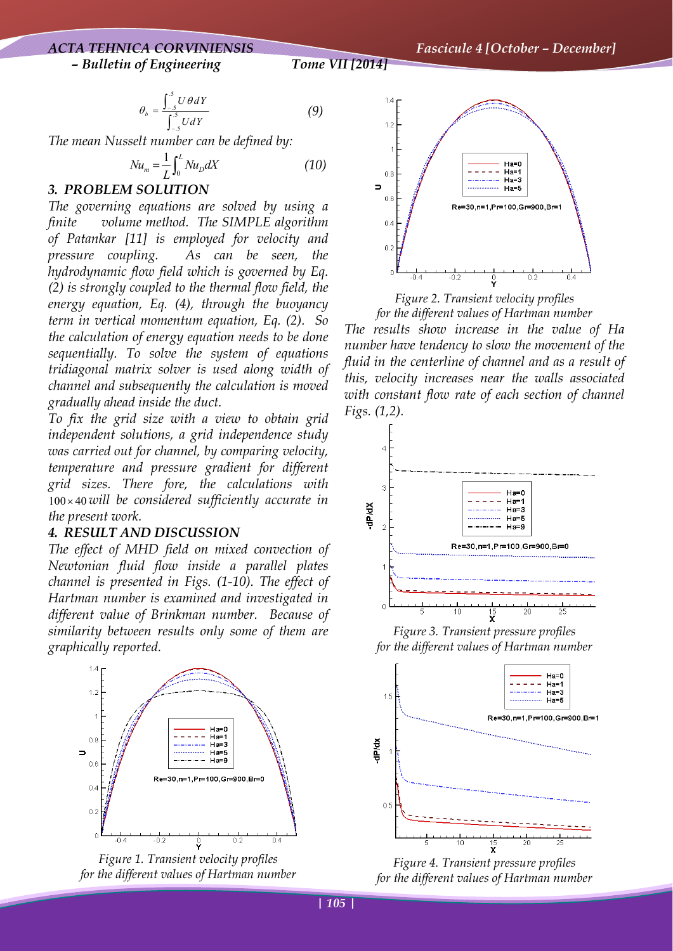# *ACTA TEHNICA CORVINIENSIS Fascicule 4 [October – December] – Bulletin of Engineering Tome VII [2014]*

$$
\theta_b = \frac{\int_{-5}^{5} U \theta dY}{\int_{-5}^{5} U dY}
$$
 (9)

*The mean Nusselt number can be defined by:* 

$$
Nu_m = \frac{1}{L} \int_0^L Nu_D dX \tag{10}
$$

#### *3. PROBLEM SOLUTION*

*The governing equations are solved by using a finite volume method. The SIMPLE algorithm of Patankar [11] is employed for velocity and pressure coupling. As can be seen, the hydrodynamic flow field which is governed by Eq. (2) is strongly coupled to the thermal flow field, the energy equation, Eq. (4), through the buoyancy term in vertical momentum equation, Eq. (2). So the calculation of energy equation needs to be done sequentially. To solve the system of equations tridiagonal matrix solver is used along width of channel and subsequently the calculation is moved gradually ahead inside the duct.* 

*To fix the grid size with a view to obtain grid independent solutions, a grid independence study was carried out for channel, by comparing velocity, temperature and pressure gradient for different grid sizes. There fore, the calculations with*  100 40 × *will be considered sufficiently accurate in the present work.* 

#### *4. RESULT AND DISCUSSION*

*The effect of MHD field on mixed convection of Newtonian fluid flow inside a parallel plates channel is presented in Figs. (1-10). The effect of Hartman number is examined and investigated in different value of Brinkman number. Because of similarity between results only some of them are graphically reported.* 



*Figure 1. Transient velocity profiles for the different values of Hartman number*



*Figure 2. Transient velocity profiles for the different values of Hartman number* 

*The results show increase in the value of Ha number have tendency to slow the movement of the fluid in the centerline of channel and as a result of this, velocity increases near the walls associated with constant flow rate of each section of channel Figs. (1,2).*



*Figure 3. Transient pressure profiles for the different values of Hartman number* 



*Figure 4. Transient pressure profiles for the different values of Hartman number*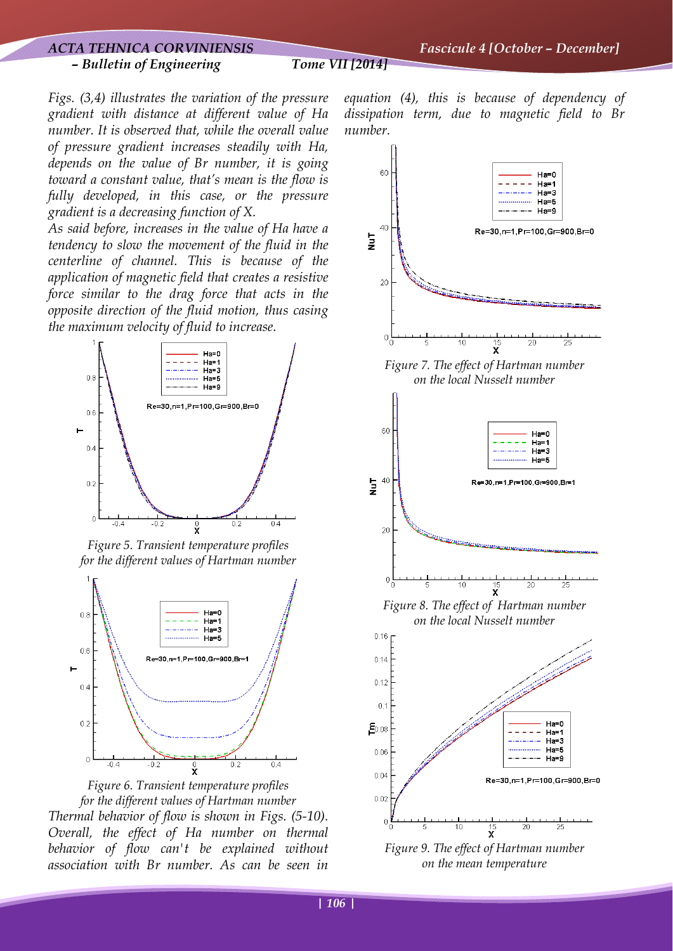*Figs. (3,4) illustrates the variation of the pressure gradient with distance at different value of Ha number. It is observed that, while the overall value of pressure gradient increases steadily with Ha, depends on the value of Br number, it is going toward a constant value, that's mean is the flow is fully developed, in this case, or the pressure gradient is a decreasing function of X.* 

*As said before, increases in the value of Ha have a tendency to slow the movement of the fluid in the centerline of channel. This is because of the application of magnetic field that creates a resistive force similar to the drag force that acts in the opposite direction of the fluid motion, thus casing the maximum velocity of fluid to increase.*



*Figure 5. Transient temperature profiles for the different values of Hartman number* 





*equation (4), this is because of dependency of dissipation term, due to magnetic field to Br number.*



*on the mean temperature*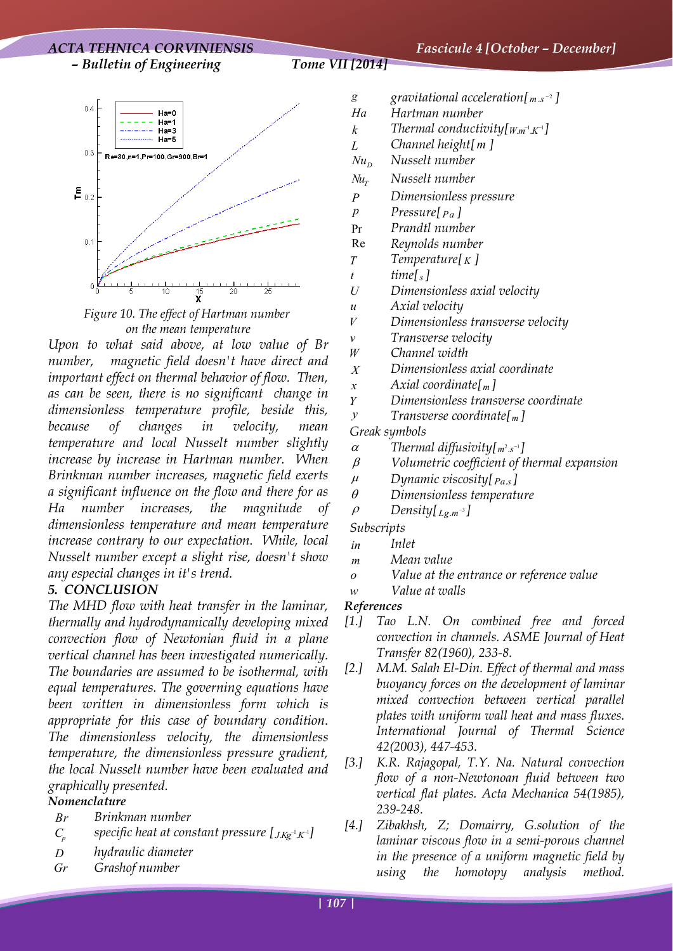## *ACTA TEHNICA CORVINIENSIS Fascicule 4 [October – December] – Bulletin of Engineering Tome VII [2014]*



*Figure 10. The effect of Hartman number on the mean temperature*

*Upon to what said above, at low value of Br number, magnetic field doesn't have direct and important effect on thermal behavior of flow. Then, as can be seen, there is no significant change in dimensionless temperature profile, beside this, because of changes in velocity, mean temperature and local Nusselt number slightly increase by increase in Hartman number. When Brinkman number increases, magnetic field exerts a significant influence on the flow and there for as Ha number increases, the magnitude of dimensionless temperature and mean temperature increase contrary to our expectation. While, local Nusselt number except a slight rise, doesn't show any especial changes in it's trend.* 

## *5. CONCLUSION*

*The MHD flow with heat transfer in the laminar, thermally and hydrodynamically developing mixed convection flow of Newtonian fluid in a plane vertical channel has been investigated numerically. The boundaries are assumed to be isothermal, with equal temperatures. The governing equations have been written in dimensionless form which is appropriate for this case of boundary condition. The dimensionless velocity, the dimensionless temperature, the dimensionless pressure gradient, the local Nusselt number have been evaluated and graphically presented.* 

# *Nomenclature*

- *Br Brinkman number*
- *C*<sub>*n*</sub> specific heat at constant pressure [ $J K g^{-1} K^{-1}$ ]
- *D hydraulic diameter*
- *Gr Grashof number*
- *g gravitational acceleration*[*]*
- *Ha Hartman number*
- *k Thermal conductivity*[ $Wm^{-1}K^{-1}$ ]
- *L Channel height[ m ]*
- $Nu_n$  *Nusselt number*
- $Nu<sub>r</sub>$  *Nusselt number*
- *P Dimensionless pressure*
- *p* Pressure[ $Pa$ ]
- Pr *Prandtl number* 
	- Re *Reynolds number*
	- *T Temperature[ K ]*
- $t$   $time[s]$
- *U Dimensionless axial velocity*
- *u Axial velocity*
- *V Dimensionless transverse velocity*
- *v Transverse velocity*
- *W Channel width*
- *X Dimensionless axial coordinate*
- *x Axial coordinate[ m ]*
- *Y Dimensionless transverse coordinate*
- *y Transverse coordinate[<sup>m</sup> ]*

#### *Greak symbols*

- $\alpha$  *Thermal diffusivity*[ $m^2 \text{ s}^{-1}$ ]
- β *Volumetric coefficient of thermal expansion*
- <sup>μ</sup> *Dynamic viscosity[ Pa s*. *]*
- θ *Dimensionless temperature*
- $\rho$  *Density*[ $Lg_m$ <sup>-3</sup>]

#### *Subscripts*

- *in Inlet*
- *m Mean value*
- *o Value at the entrance or reference value*
- *w Value at walls*

## *References*

- *[1.] Tao L.N. On combined free and forced convection in channels. ASME Journal of Heat Transfer 82(1960), 233-8.*
- *[2.] M.M. Salah El-Din. Effect of thermal and mass buoyancy forces on the development of laminar mixed convection between vertical parallel plates with uniform wall heat and mass fluxes. International Journal of Thermal Science 42(2003), 447-453.*
- *[3.] K.R. Rajagopal, T.Y. Na. Natural convection flow of a non-Newtonoan fluid between two vertical flat plates. Acta Mechanica 54(1985), 239-248*.
- *[4.] Zibakhsh, Z; Domairry, G.solution of the laminar viscous flow in a semi-porous channel in the presence of a uniform magnetic field by using the homotopy analysis method.*